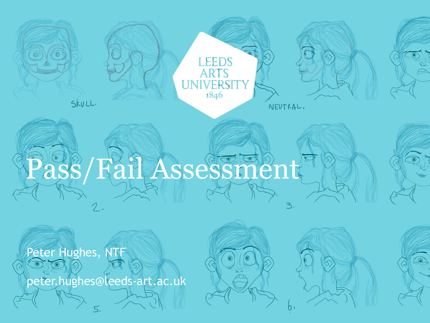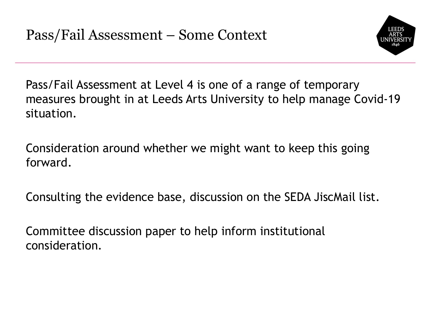

Pass/Fail Assessment at Level 4 is one of a range of temporary measures brought in at Leeds Arts University to help manage Covid-19 situation.

Consideration around whether we might want to keep this going forward.

Consulting the evidence base, discussion on the SEDA JiscMail list.

Committee discussion paper to help inform institutional consideration.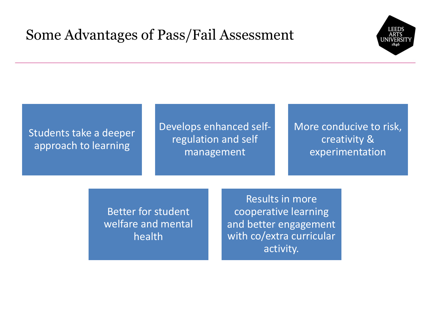# Some Advantages of Pass/Fail Assessment



### Students take a deeper approach to learning

## Develops enhanced selfregulation and self management

### More conducive to risk, creativity & experimentation

Better for student welfare and mental health

Results in more cooperative learning and better engagement with co/extra curricular activity.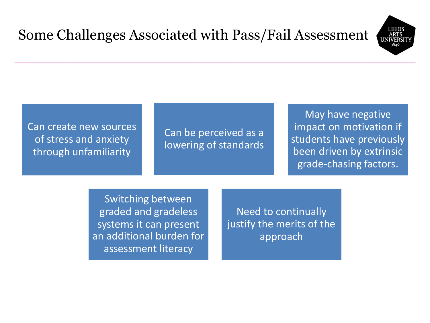

Can create new sources of stress and anxiety through unfamiliarity

Can be perceived as a lowering of standards

May have negative impact on motivation if students have previously been driven by extrinsic grade-chasing factors.

Switching between graded and gradeless systems it can present an additional burden for assessment literacy

Need to continually justify the merits of the approach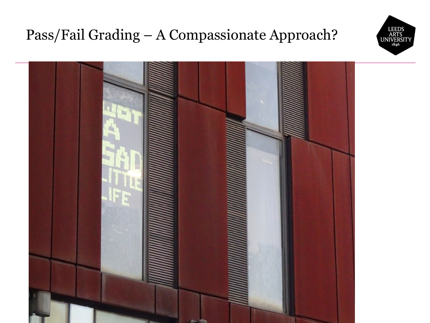# Pass/Fail Grading – A Compassionate Approach?



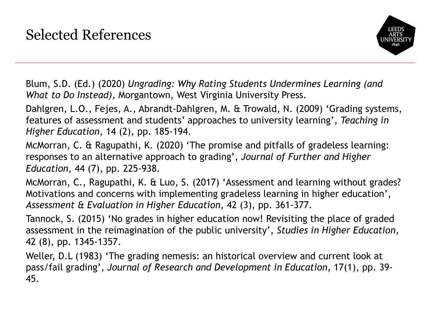

Blum, S.D. (Ed.) (2020) *Ungrading: Why Rating Students Undermines Learning (and What to Do Instead),* Morgantown, West Virginia University Press.

Dahlgren, L.O., Fejes, A., Abrandt-Dahlgren, M. & Trowald, N. (2009) 'Grading systems, features of assessment and students' approaches to university learning', *Teaching in Higher Education*, 14 (2), pp. 185-194.

McMorran, C. & Ragupathi, K. (2020) 'The promise and pitfalls of gradeless learning: responses to an alternative approach to grading', *Journal of Further and Higher Education*, 44 (7), pp. 225-938.

McMorran, C., Ragupathi, K. & Luo, S. (2017) 'Assessment and learning without grades? Motivations and concerns with implementing gradeless learning in higher education', *Assessment & Evaluation in Higher Education*, 42 (3), pp. 361-377.

Tannock, S. (2015) 'No grades in higher education now! Revisiting the place of graded assessment in the reimagination of the public university', *Studies in Higher Education*, 42 (8), pp. 1345-1357.

Weller, D.L (1983) 'The grading nemesis: an historical overview and current look at pass/fail grading', *Journal of Research and Development in Education*, 17(1), pp. 39- 45.